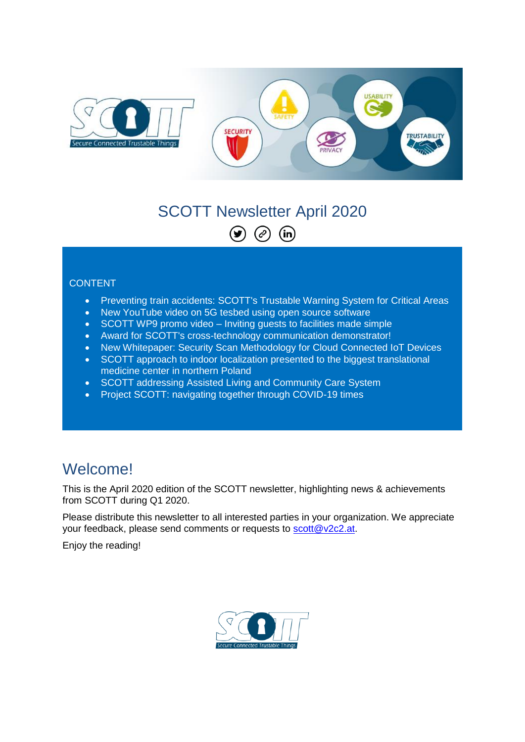

#### SCOTT Newsletter April 2020  $\odot$  $\bigodot$  $(n)$

#### CONTENT

- Preventing train accidents: SCOTT's Trustable Warning System for Critical Areas
- New YouTube video on 5G tesbed using open source software
- SCOTT WP9 promo video Inviting guests to facilities made simple
- Award for SCOTT's cross-technology communication demonstrator!
- New Whitepaper: Security Scan Methodology for Cloud Connected IoT Devices
- SCOTT approach to indoor localization presented to the biggest translational medicine center in northern Poland
- SCOTT addressing Assisted Living and Community Care System
- Project SCOTT: navigating together through COVID-19 times

### **Welcome!**

This is the April 2020 edition of the SCOTT newsletter, highlighting news & achievements from SCOTT during Q1 2020.

Please distribute this newsletter to all interested parties in your organization. We appreciate your feedback, please send comments or requests to [scott@v2c2.at.](mailto:scott@v2c2.at)

Enjoy the reading!

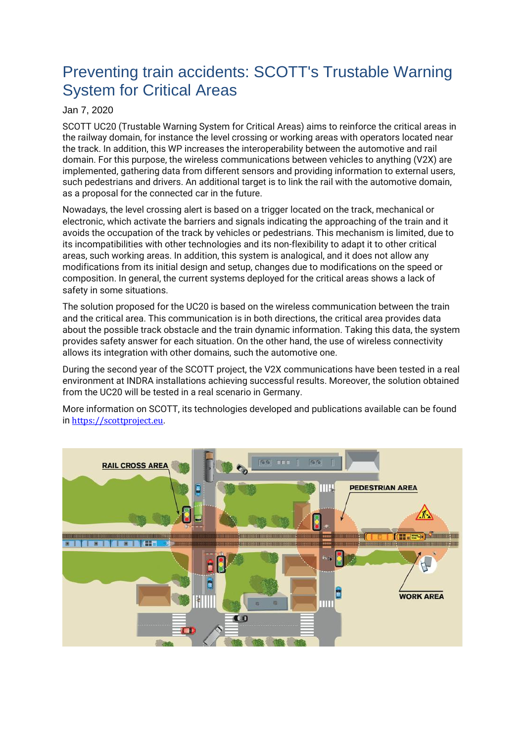## Preventing train accidents: SCOTT's Trustable Warning System for Critical Areas

#### Jan 7, 2020

SCOTT UC20 (Trustable Warning System for Critical Areas) aims to reinforce the critical areas in the railway domain, for instance the level crossing or working areas with operators located near the track. In addition, this WP increases the interoperability between the automotive and rail domain. For this purpose, the wireless communications between vehicles to anything (V2X) are implemented, gathering data from different sensors and providing information to external users, such pedestrians and drivers. An additional target is to link the rail with the automotive domain, as a proposal for the connected car in the future.

Nowadays, the level crossing alert is based on a trigger located on the track, mechanical or electronic, which activate the barriers and signals indicating the approaching of the train and it avoids the occupation of the track by vehicles or pedestrians. This mechanism is limited, due to its incompatibilities with other technologies and its non-flexibility to adapt it to other critical areas, such working areas. In addition, this system is analogical, and it does not allow any modifications from its initial design and setup, changes due to modifications on the speed or composition. In general, the current systems deployed for the critical areas shows a lack of safety in some situations.

The solution proposed for the UC20 is based on the wireless communication between the train and the critical area. This communication is in both directions, the critical area provides data about the possible track obstacle and the train dynamic information. Taking this data, the system provides safety answer for each situation. On the other hand, the use of wireless connectivity allows its integration with other domains, such the automotive one.

During the second year of the SCOTT project, the V2X communications have been tested in a real environment at INDRA installations achieving successful results. Moreover, the solution obtained from the UC20 will be tested in a real scenario in Germany.

More information on SCOTT, its technologies developed and publications available can be found in [https://scottproject.eu](https://www.researchgate.net/deref/https%3A%2F%2Fscottproject.eu).

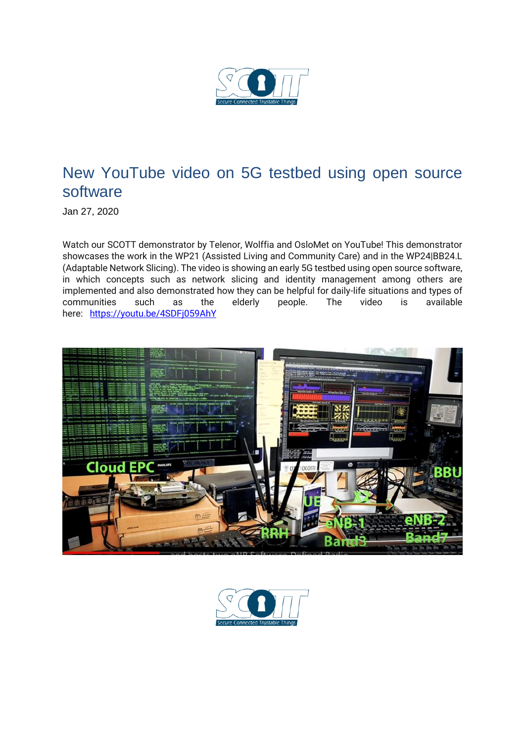

### New YouTube video on 5G testbed using open source software

Jan 27, 2020

Watch our SCOTT demonstrator by Telenor, Wolffia and OsloMet on YouTube! This demonstrator showcases the work in the WP21 (Assisted Living and Community Care) and in the WP24|BB24.L (Adaptable Network Slicing). The video is showing an early 5G testbed using open source software, in which concepts such as network slicing and identity management among others are implemented and also demonstrated how they can be helpful for daily-life situations and types of communities such as the elderly people. The video is available here:<https://youtu.be/4SDFj059AhY>



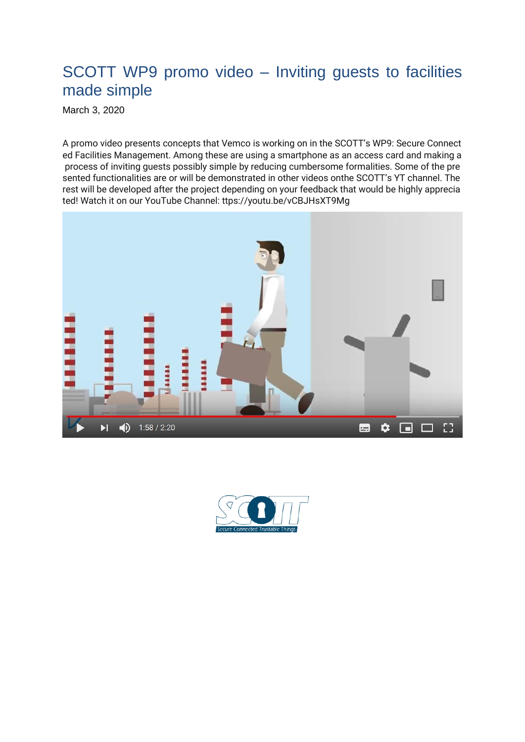### SCOTT WP9 promo video – Inviting guests to facilities made simple

March 3, 2020

A promo video presents concepts that Vemco is working on in the SCOTT's WP9: Secure Connect ed Facilities Management. Among these are using a smartphone as an access card and making a process of inviting guests possibly simple by reducing cumbersome formalities. Some of the pre sented functionalities are or will be demonstrated in other videos onthe SCOTT's YT channel. The rest will be developed after the project depending on your feedback that would be highly apprecia ted! Watch it on our YouTube Channel: ttps://youtu.be/vCBJHsXT9Mg



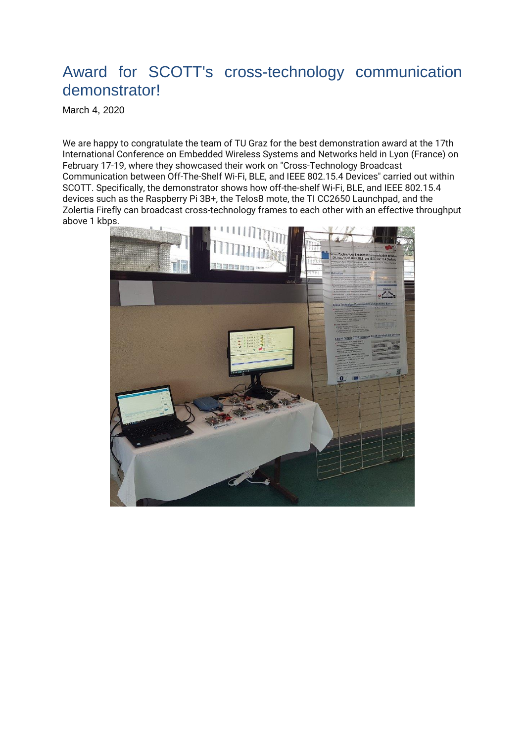### Award for SCOTT's cross-technology communication demonstrator!

March 4, 2020

We are happy to congratulate the team of TU Graz for the best demonstration award at the 17th International Conference on Embedded Wireless Systems and Networks held in Lyon (France) on February 17-19, where they showcased their work on "Cross-Technology Broadcast Communication between Off-The-Shelf Wi-Fi, BLE, and IEEE 802.15.4 Devices" carried out within SCOTT. Specifically, the demonstrator shows how off-the-shelf Wi-Fi, BLE, and IEEE 802.15.4 devices such as the Raspberry Pi 3B+, the TelosB mote, the TI CC2650 Launchpad, and the Zolertia Firefly can broadcast cross-technology frames to each other with an effective throughput above 1 kbps.

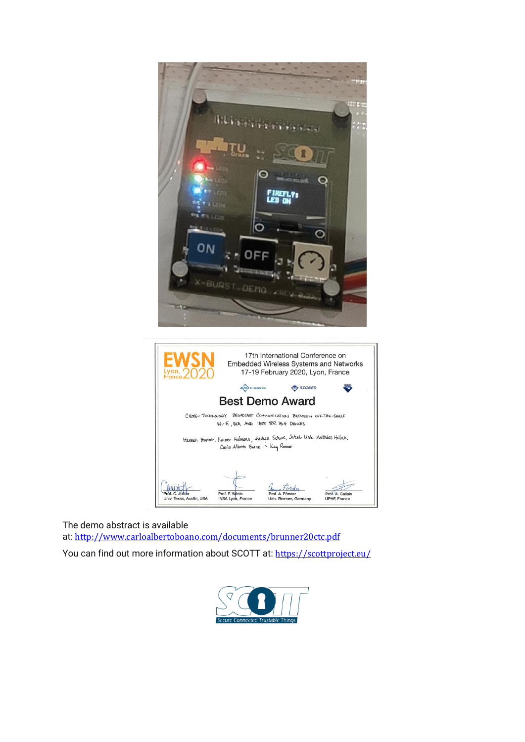

The demo abstract is available at: [http://www.carloalbertoboano.com/documents/brunner20ctc.pdf](https://www.researchgate.net/deref/http%3A%2F%2Fwww.carloalbertoboano.com%2Fdocuments%2Fbrunner20ctc.pdf) You can find out more information about SCOTT at: [https://scottproject.eu/](https://www.researchgate.net/deref/https%3A%2F%2Fscottproject.eu%2F)

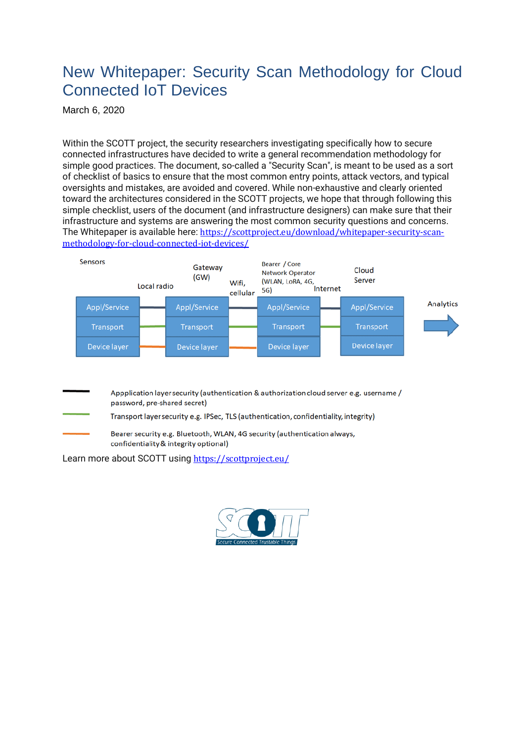#### New Whitepaper: Security Scan Methodology for Cloud Connected IoT Devices

March 6, 2020

Within the SCOTT project, the security researchers investigating specifically how to secure connected infrastructures have decided to write a general recommendation methodology for simple good practices. The document, so-called a "Security Scan", is meant to be used as a sort of checklist of basics to ensure that the most common entry points, attack vectors, and typical oversights and mistakes, are avoided and covered. While non-exhaustive and clearly oriented toward the architectures considered in the SCOTT projects, we hope that through following this simple checklist, users of the document (and infrastructure designers) can make sure that their infrastructure and systems are answering the most common security questions and concerns. The Whitepaper is available here: [https://scottproject.eu/download/whitepaper-security-scan](https://www.researchgate.net/deref/https%3A%2F%2Fscottproject.eu%2Fdownload%2Fwhitepaper-security-scan-methodology-for-cloud-connected-iot-devices%2F)[methodology-for-cloud-connected-iot-devices/](https://www.researchgate.net/deref/https%3A%2F%2Fscottproject.eu%2Fdownload%2Fwhitepaper-security-scan-methodology-for-cloud-connected-iot-devices%2F)



| Appplication layer security (authentication & authorization cloud server e.g. username /<br>password, pre-shared secret) |
|--------------------------------------------------------------------------------------------------------------------------|
| Transport layer security e.g. IPSec, TLS (authentication, confidentiality, integrity)                                    |
| Bearer security e.g. Bluetooth, WLAN, 4G security (authentication always,<br>confidentiality & integrity optional)       |

Learn more about SCOTT using [https://scottproject.eu/](https://www.researchgate.net/deref/https%3A%2F%2Fscottproject.eu%2F)

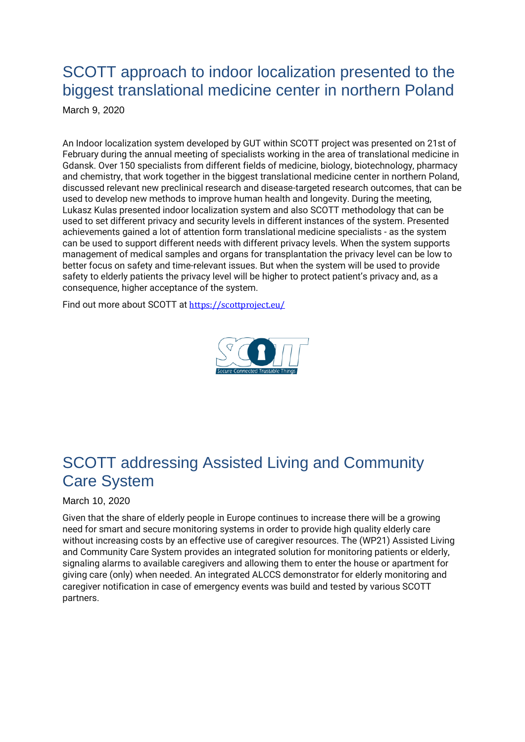# SCOTT approach to indoor localization presented to the biggest translational medicine center in northern Poland

March 9, 2020

An Indoor localization system developed by GUT within SCOTT project was presented on 21st of February during the annual meeting of specialists working in the area of translational medicine in Gdansk. Over 150 specialists from different fields of medicine, biology, biotechnology, pharmacy and chemistry, that work together in the biggest translational medicine center in northern Poland, discussed relevant new preclinical research and disease-targeted research outcomes, that can be used to develop new methods to improve human health and longevity. During the meeting, Lukasz Kulas presented indoor localization system and also SCOTT methodology that can be used to set different privacy and security levels in different instances of the system. Presented achievements gained a lot of attention form translational medicine specialists - as the system can be used to support different needs with different privacy levels. When the system supports management of medical samples and organs for transplantation the privacy level can be low to better focus on safety and time-relevant issues. But when the system will be used to provide safety to elderly patients the privacy level will be higher to protect patient's privacy and, as a consequence, higher acceptance of the system.

Find out more about SCOTT at [https://scottproject.eu/](https://www.researchgate.net/deref/https%3A%2F%2Fscottproject.eu%2F)



## SCOTT addressing Assisted Living and Community Care System

#### March 10, 2020

Given that the share of elderly people in Europe continues to increase there will be a growing need for smart and secure monitoring systems in order to provide high quality elderly care without increasing costs by an effective use of caregiver resources. The (WP21) Assisted Living and Community Care System provides an integrated solution for monitoring patients or elderly, signaling alarms to available caregivers and allowing them to enter the house or apartment for giving care (only) when needed. An integrated ALCCS demonstrator for elderly monitoring and caregiver notification in case of emergency events was build and tested by various SCOTT partners.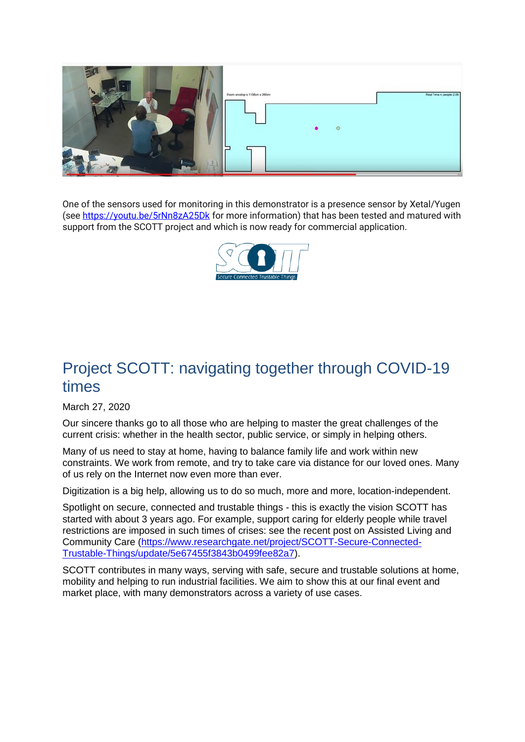

One of the sensors used for monitoring in this demonstrator is a presence sensor by Xetal/Yugen (see [https://youtu.be/5rNn8zA25Dk](https://www.researchgate.net/deref/https%3A%2F%2Fyoutu.be%2F5rNn8zA25Dk) for more information) that has been tested and matured with support from the SCOTT project and which is now ready for commercial application.



### Project SCOTT: navigating together through COVID-19 times

March 27, 2020

Our sincere thanks go to all those who are helping to master the great challenges of the current crisis: whether in the health sector, public service, or simply in helping others.

Many of us need to stay at home, having to balance family life and work within new constraints. We work from remote, and try to take care via distance for our loved ones. Many of us rely on the Internet now even more than ever.

Digitization is a big help, allowing us to do so much, more and more, location-independent.

Spotlight on secure, connected and trustable things - this is exactly the vision SCOTT has started with about 3 years ago. For example, support caring for elderly people while travel restrictions are imposed in such times of crises: see the recent post on Assisted Living and Community Care [\(https://www.researchgate.net/project/SCOTT-Secure-Connected-](https://www.researchgate.net/project/SCOTT-Secure-Connected-Trustable-Things/update/5e67455f3843b0499fee82a7)[Trustable-Things/update/5e67455f3843b0499fee82a7\)](https://www.researchgate.net/project/SCOTT-Secure-Connected-Trustable-Things/update/5e67455f3843b0499fee82a7).

SCOTT contributes in many ways, serving with safe, secure and trustable solutions at home, mobility and helping to run industrial facilities. We aim to show this at our final event and market place, with many demonstrators across a variety of use cases.